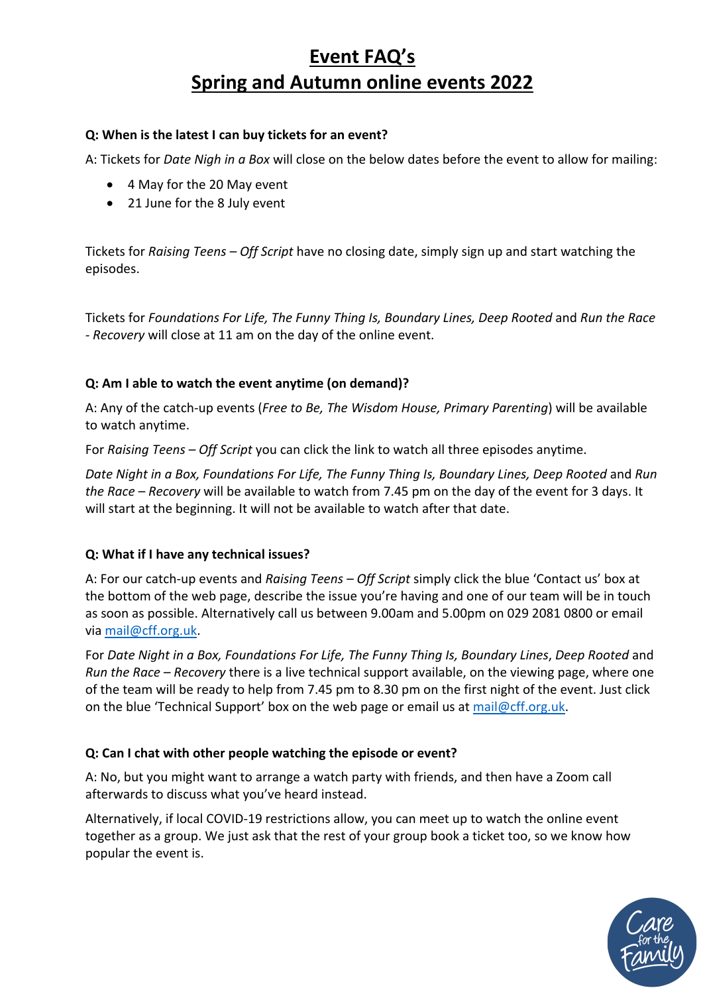# **Event FAQ's Spring and Autumn online events 2022**

# **Q: When is the latest I can buy tickets for an event?**

A: Tickets for *Date Nigh in a Box* will close on the below dates before the event to allow for mailing:

- 4 May for the 20 May event
- 21 June for the 8 July event

Tickets for *Raising Teens – Off Script* have no closing date, simply sign up and start watching the episodes.

Tickets for *Foundations For Life, The Funny Thing Is, Boundary Lines, Deep Rooted* and *Run the Race - Recovery* will close at 11 am on the day of the online event.

# **Q: Am I able to watch the event anytime (on demand)?**

A: Any of the catch-up events (*Free to Be, The Wisdom House, Primary Parenting*) will be available to watch anytime.

For *Raising Teens – Off Script* you can click the link to watch all three episodes anytime.

*Date Night in a Box, Foundations For Life, The Funny Thing Is, Boundary Lines, Deep Rooted* and *Run the Race – Recovery* will be available to watch from 7.45 pm on the day of the event for 3 days. It will start at the beginning. It will not be available to watch after that date.

### **Q: What if I have any technical issues?**

A: For our catch-up events and *Raising Teens – Off Script* simply click the blue 'Contact us' box at the bottom of the web page, describe the issue you're having and one of our team will be in touch as soon as possible. Alternatively call us between 9.00am and 5.00pm on 029 2081 0800 or email via mail@cff.org.uk.

For *Date Night in a Box, Foundations For Life, The Funny Thing Is, Boundary Lines*, *Deep Rooted* and *Run the Race – Recovery* there is a live technical support available, on the viewing page, where one of the team will be ready to help from 7.45 pm to 8.30 pm on the first night of the event. Just click on the blue 'Technical Support' box on the web page or email us at mail@cff.org.uk.

# **Q: Can I chat with other people watching the episode or event?**

A: No, but you might want to arrange a watch party with friends, and then have a Zoom call afterwards to discuss what you've heard instead.

Alternatively, if local COVID-19 restrictions allow, you can meet up to watch the online event together as a group. We just ask that the rest of your group book a ticket too, so we know how popular the event is.